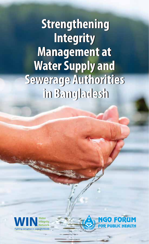**Strengthening Strengthening Integrity Integrity Management at Management at Water Supply and Water Supply and Sewerage Authorities Sewerage Authorities in Bangladesh in Bangladesh**



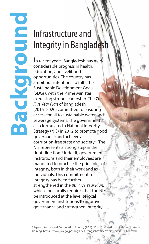### Infrastructure and Integrity in Bangladesh

**Background**

oundrowpe

**I**n recent years, Bangladesh has made considerable progress in health, education, and livelihood opportunities. The country has ambitious intentions to fulfil the Sustainable Development Goals (SDGs), with the Prime Minister exercising strong leadership. The *7th Five Year Plan* of Bangladesh (2015–2020) committed to ensuring access for all to sustainable water and sewerage systems. The government also formulated a National Integrity Strategy (NIS) in 2012 to promote good governance and achieve a corruption-free state and society<sup>1</sup>. The NIS represents a strong step in the right direction. Under it, government institutions and their employees are mandated to practice the principles of integrity, both in their work and as individuals. This commitment to integrity has been further strengthened in the *8th Five Year Plan,* which specifically requires that the NIS be introduced at the level of local government institutions to improve governance and strengthen integrity.

<sup>1</sup> Japan International Cooperation Agency (JICA). 2016. '2nd National Integrity Strategy Training'. https://www.jica.go.jp/bangladesh/english/office/topics/press160124.html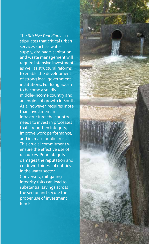The *8th Five Year Plan* also stipulates that critical urban services such as water supply, drainage, sanitation, and waste management will require intensive investment as well as structural reforms to enable the development of strong local government institutions. For Bangladesh to become a solidly middle-income country and an engine of growth in South Asia, however, requires more than investment in infrastructure: the country needs to invest in processes that strengthen integrity, improve work performance, and increase public trust. This crucial commitment will ensure the effective use of resources. Poor integrity damages the reputation and creditworthiness of entities in the water sector. Conversely, mitigating integrity risks can lead to substantial savings across the sector and secure the proper use of investment funds.

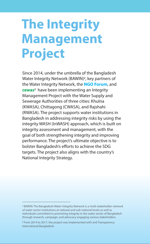## **The Integrity Management Project**

Since 2014, under the umbrella of the Bangladesh Water Integrity Network (BAWIN)<sup>2</sup>, key partners of the Water Integrity Network, the **NGO Forum**, and **cewas**3 have been implementing an Integrity Management Project with the Water Supply and Sewerage Authorities of three cities: Khulna (KWASA), Chittagong (CWASA), and Rajshahi (RWASA). The project supports water institutions in Bangladesh in addressing integrity risks by using the integrity WASH (InWASH) approach, which is built on integrity assessment and management, with the goal of both strengthening integrity and improving performance. The project's ultimate objective is to bolster Bangladesh's efforts to achieve the SDG targets. The project also aligns with the country's National Integrity Strategy.

<sup>2</sup> BAWIN: The Bangladesh Water Integrity Network is a multi-stakeholder network of water sector institutions at national and sub-national levels as well as individuals committed to promoting integrity in the water sector of Bangladesh through research, campaign, and advocacy engaging various stakeholders.

<sup>&</sup>lt;sup>3</sup> From 2014 to 2017, the project was implemented with and Transparency International Bangladesh.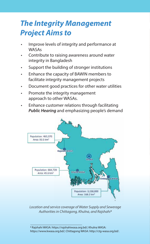### *The Integrity Management Project Aims to*

- Improve levels of integrity and performance at **WASAs**
- Contribute to raising awareness around water integrity in Bangladesh
- Support the building of stronger institutions
- Enhance the capacity of BAWIN members to facilitate integrity management projects
- Document good practices for other water utilities
- Promote the integrity management approach to other WASAs.
- Enhance customer relations through facilitating *Public Hearing* and emphasizing people's demand



*Location and service coverage of Water Supply and Sewerage Authorities in Chittagong, Khulna, and Rajshahi4*

4 Rajshahi WASA: https://rajshahiwasa.org.bd/; Khulna WASA: https://www.kwasa.org.bd/; Chittagong WASA: http://ctg-wasa.org.bd/.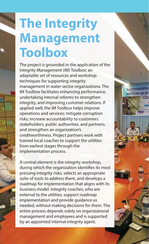# **The Integrity Management Toolbox**

The project is grounded in the application of the Integrity Management (IM) Toolbox: an adaptable set of resources and workshop techniques for supporting integrity management in water sector organizations. The IM Toolbox facilitates enhancing performance, undertaking internal reforms to strengthen integrity, and improving customer relations. If applied well, the IM Toolbox helps improve operations and services; mitigate corruption risks; increase accountability to customers stakeholders, public authorities, and partners; and strengthen an organization's creditworthiness. Project partners work with trained local coaches to support the utilities from earliest stages through the implementation process.

A central element is the integrity workshop, during which the organization identifies its most pressing integrity risks, selects an appropriate suite of tools to address them, and develops a roadmap for implementation that aligns with its business model. Integrity coaches, who are external to the utilities, support roadmap implementation and provide guidance as needed, without making decisions for them. The entire process depends solely on organizational management and employees and is supported by an appointed internal integrity agent.

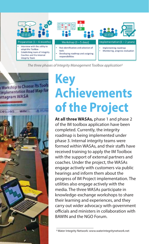

*The three phases of Integrity Management Toolbox application5*



## **Key Achievements of the Project**

**At all three WASAs,** phase 1 and phase 2 of the IM toolbox application have been completed. Currently, the integrity roadmap is being implemented under phase 3. Internal integrity teams were formed within WASAs, and their staffs have received training to apply the IM Toolbox with the support of external partners and coaches. Under the project, the WASAs engage actively with customers via public hearings and inform them about the progress of IM Project implementation. The utilities also engage actively with the media. The three WASAs participate in knowledge-exchange workshops to share their learning and experiences, and they carry out wider advocacy with government officials and ministers in collaboration with BAWIN and the NGO Forum.

<sup>5</sup> Water Integrity Network: www.waterintegritynetwork.net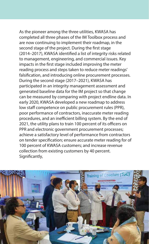As the pioneer among the three utilities, KWASA has completed all three phases of the IM Toolbox process and are now continuing to implement their roadmap, in the second stage of the project. During the first stage (2014–2017), KWASA identified a list of integrity risks related to management, engineering, and commercial issues. Key impacts in the first stage included improving the meter reading process and steps taken to reduce meter readings' falsification, and introducing online procurement processes. During the second stage (2017–2021), KWASA has participated in an integrity management assessment and generated baseline data for the IM project so that change can be measured by comparing with project endline data. In early 2020, KWASA developed a new roadmap to address low staff competence on public procurement rules (PPR), poor performance of contractors, inaccurate meter reading procedures, and an inefficient billing system. By the end of 2021, the utility plans to train 100 percent of its officers on PPR and electronic government procurement processes; achieve a satisfactory level of performance from contractors on tender specification; ensure accurate meter reading for of 100 percent of KWASA customers; and increase revenue collection from existing customers by 40 percent. Significantly,

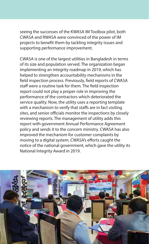seeing the successes of the KWASA IM Toolbox pilot, both CWASA and RWASA were convinced of the power of IM projects to benefit them by tackling integrity issues and supporting performance improvement.

CWASA is one of the largest utilities in Bangladesh in terms of its size and population served. The organization began implementing an integrity roadmap in 2019, which has helped to strengthen accountability mechanisms in the field inspection process. Previously, field reports of CWASA staff were a routine task for them. The field inspection report could not play a proper role in improving the performance of the contractors which deteriorated the service quality. Now, the utility uses a reporting template with a mechanism to verify that staffs are in fact visiting sites, and senior officials monitor the inspections by closely reviewing reports. The management of utility adds this report with government Annual Performance Agreement policy and sends it to the concern ministry. CWASA has also improved the mechanism for customer complaints by moving to a digital system. CWASA's efforts caught the notice of the national government, which gave the utility its National Integrity Award in 2019.

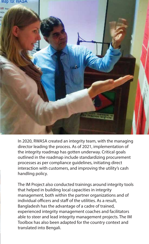

In 2020, RWASA created an integrity team, with the managing director leading the process. As of 2021, implementation of the integrity roadmap has gotten underway. Critical goals outlined in the roadmap include standardizing procurement processes as per compliance guidelines, initiating direct interaction with customers, and improving the utility's cash handling policy.

The IM Project also conducted trainings around integrity tools that helped in building local capacities in integrity management, both within the partner organizations and of individual officers and staff of the utilities. As a result, Bangladesh has the advantage of a cadre of trained, experienced integrity management coaches and facilitators able to steer and lead integrity management projects. The IM Toolbox has also been adapted for the country context and translated into Bengali.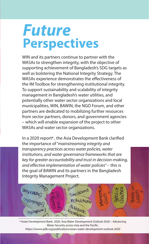### *Future* **Perspectives**

WIN and its partners continue to partner with the WASAs to strengthen integrity, with the objective of supporting achievement of Bangladesh's SDG targets as well as bolstering the National Integrity Strategy. The WASAs experience demonstrates the effectiveness of the IM Toolbox for strengthening institutional integrity. To support sustainability and scalability of integrity management in Bangladesh's water utilities, and potentially other water sector organizations and local municipalities, WIN, BAWIN, the NGO Forum, and other partners are dedicated to mobilizing further resources from sector partners, donors, and government agencies – which will enable expansion of the project to other WASAs and water sector organizations.

In a 2020 report<sup>6</sup>, the Asia Development Bank clarified the importance of "*mainstreaming integrity and transparency practices across water policies, water institutions, and water governance frameworks that are key for greater accountability and trust in decision-making,*  and effective implementation of water policies" – this is the goal of BAWIN and its partners in the Bangladesh Integrity Management Project.



6 Asian Development Bank. 2020. Asia Water Development Outlook 2020 – Advancing Water Security across Asia and the Pacific. https://wsww.adb.org/publications/asian-water-development-outlook-2020